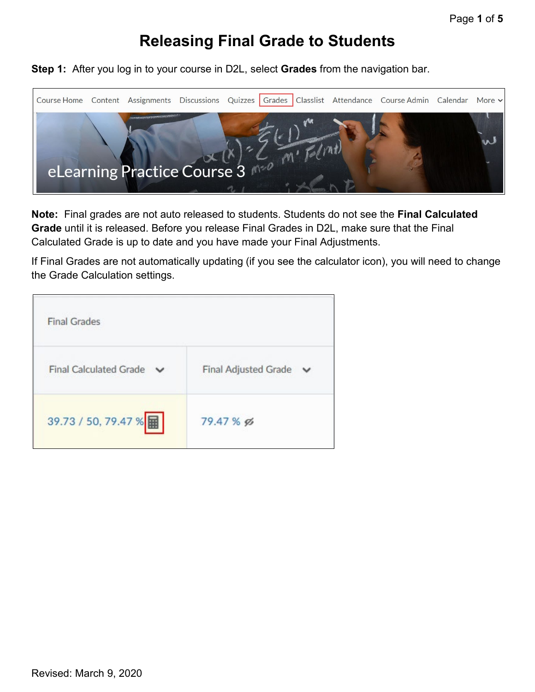## **Releasing Final Grade to Students**

**Step 1:** After you log in to your course in D2L, select **Grades** from the navigation bar.



**Note:** Final grades are not auto released to students. Students do not see the **Final Calculated Grade** until it is released. Before you release Final Grades in D2L, make sure that the Final Calculated Grade is up to date and you have made your Final Adjustments.

If Final Grades are not automatically updating (if you see the calculator icon), you will need to change the Grade Calculation settings.

| <b>Final Grades</b>           |                             |
|-------------------------------|-----------------------------|
| <b>Final Calculated Grade</b> | <b>Final Adjusted Grade</b> |
| 39.73 / 50, 79.47 %           | 79.47 % g                   |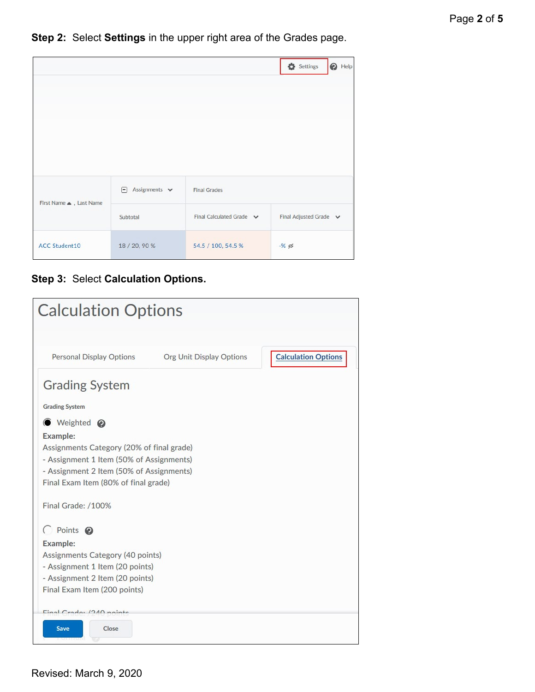**Step 2:** Select **Settings** in the upper right area of the Grades page.

|                        |                          |                          | Settings<br>$\bigcirc$ Help |
|------------------------|--------------------------|--------------------------|-----------------------------|
|                        |                          |                          |                             |
|                        |                          |                          |                             |
|                        |                          |                          |                             |
|                        |                          |                          |                             |
|                        | Assignments $\vee$<br>F. | <b>Final Grades</b>      |                             |
| First Name . Last Name | Subtotal                 | Final Calculated Grade v | Final Adjusted Grade v      |
| <b>ACC Student10</b>   | 18 / 20, 90 %            | 54.5 / 100, 54.5 %       | $-$ % $\%$                  |

**Step 3:** Select **Calculation Options.**

| <b>Calculation Options</b>                                                       |                          |                            |
|----------------------------------------------------------------------------------|--------------------------|----------------------------|
| Personal Display Options                                                         | Org Unit Display Options | <b>Calculation Options</b> |
| <b>Grading System</b>                                                            |                          |                            |
| <b>Grading System</b>                                                            |                          |                            |
| <b>O</b> Weighted <b>⊘</b>                                                       |                          |                            |
| Example:                                                                         |                          |                            |
| Assignments Category (20% of final grade)                                        |                          |                            |
| - Assignment 1 Item (50% of Assignments)                                         |                          |                            |
| - Assignment 2 Item (50% of Assignments)<br>Final Exam Item (80% of final grade) |                          |                            |
|                                                                                  |                          |                            |
| Final Grade: /100%                                                               |                          |                            |
| C Points @                                                                       |                          |                            |
| Example:                                                                         |                          |                            |
| Assignments Category (40 points)                                                 |                          |                            |
| - Assignment 1 Item (20 points)                                                  |                          |                            |
| - Assignment 2 Item (20 points)<br>Final Exam Item (200 points)                  |                          |                            |
|                                                                                  |                          |                            |
| $Final$ $C$ rado: $1910$ nainte                                                  |                          |                            |
| <b>Save</b><br>Close                                                             |                          |                            |
|                                                                                  |                          |                            |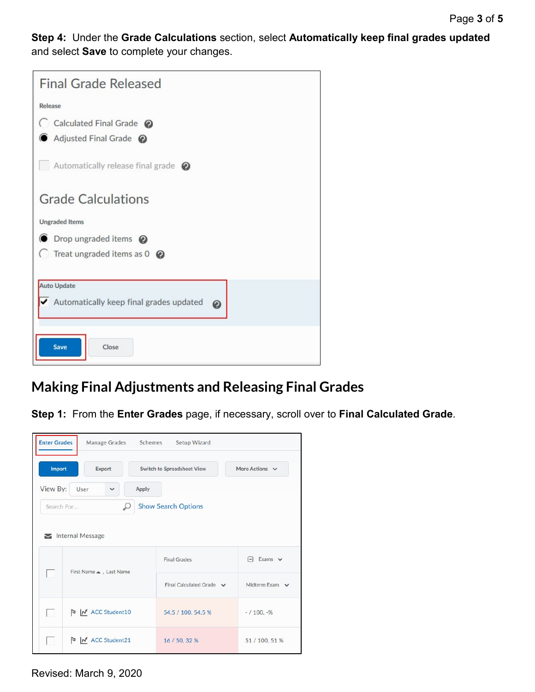**Step 4:** Under the **Grade Calculations** section, select **Automatically keep final grades updated** and select **Save** to complete your changes.

| <b>Final Grade Released</b>                          |
|------------------------------------------------------|
| Release                                              |
| C Calculated Final Grade @<br>Adjusted Final Grade @ |
| Automatically release final grade $\bigcirc$         |
| <b>Grade Calculations</b>                            |
| <b>Ungraded Items</b>                                |
| <b>●</b> Drop ungraded items <b>②</b>                |
| Treat ungraded items as $0 \quad \circledR$          |
| <b>Auto Update</b>                                   |
| Automatically keep final grades updated<br>0         |
| Save<br>Close                                        |

## **Making Final Adjustments and Releasing Final Grades**

**Step 1:** From the **Enter Grades** page, if necessary, scroll over to **Final Calculated Grade**.

| <b>Enter Grades</b> | Manage Grades          | Schemes<br>Setup Wizard           |                     |
|---------------------|------------------------|-----------------------------------|---------------------|
| Import              | <b>Export</b>          | <b>Switch to Spreadsheet View</b> | More Actions V      |
| View By:            | User<br>v              | <b>Apply</b>                      |                     |
| Search For          | Ω                      | <b>Show Search Options</b>        |                     |
|                     | Internal Message       |                                   |                     |
|                     | First Name . Last Name | <b>Final Grades</b>               | $\Box$ Exams $\vee$ |
|                     |                        | Final Calculated Grade v          | Midterm Exam $\sim$ |
| $\sim$              | M ACC Student10        | 54.5 / 100, 54.5 %                | $-/100, -%$         |
| $\mathbf{L}$        | M ACC Student21        | 16 / 50, 32 %                     | 51 / 100, 51 %      |

Revised: March 9, 2020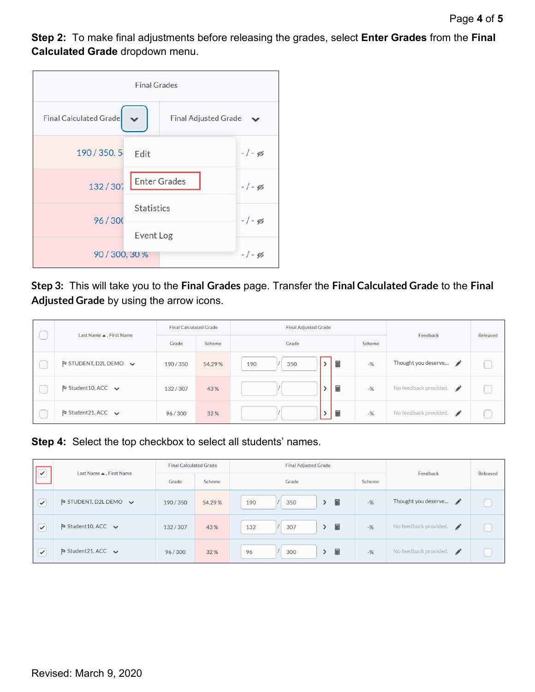**Step 2:** To make final adjustments before releasing the grades, select **Enter Grades** from the **Final Calculated Grade** dropdown menu.

|                        | <b>Final Grades</b>         |            |
|------------------------|-----------------------------|------------|
| Final Calculated Grade | <b>Final Adjusted Grade</b> |            |
| 190 / 350, 5           | Edit                        | $-1 - g_0$ |
| 132/307                | <b>Enter Grades</b>         | $-1 - g_0$ |
| 96/300                 | <b>Statistics</b>           | $-1 - g_0$ |
| 90 / 300, 30 %         | <b>Event Log</b>            | $-1 - g_0$ |

**Step 3:** This will take you to the **Final Grades** page. Transfer the **Final Calculated Grade** to the **Final Adjusted Grade** by using the arrow icons.

| Last Name ▲, First Name                             | <b>Final Calculated Grade</b> |                           | <b>Final Adjusted Grade</b> |  |   | Feedback | Released                               |  |
|-----------------------------------------------------|-------------------------------|---------------------------|-----------------------------|--|---|----------|----------------------------------------|--|
|                                                     | Grade                         | Grade<br>Scheme<br>Scheme |                             |  |   |          |                                        |  |
| $\triangleright$ STUDENT, D2L DEMO $\triangleright$ | 190/350                       | 54.29%                    | 350<br>190                  |  | 囲 | $-$ %    | Thought you deserve                    |  |
| $\triangleright$ Student 10, ACC $\triangleright$   | 132/307                       | 43%                       |                             |  | 匾 | $-$ %    | No feedback provided.<br>$\mathscr{I}$ |  |
| $\triangleright$ Student 21, ACC $\triangleright$   | 96/300                        | 32%                       |                             |  | ⊞ | $-9/6$   | No feedback provided.<br>$\mathscr{L}$ |  |

**Step 4:** Select the top checkbox to select all students' names.

| $ \heartsuit $ |                                                     | <b>Final Calculated Grade</b> |        | <b>Final Adjusted Grade</b>      |        |                                               |          |
|----------------|-----------------------------------------------------|-------------------------------|--------|----------------------------------|--------|-----------------------------------------------|----------|
|                | Last Name ▲, First Name                             | Grade                         | Scheme | Grade                            | Scheme | Feedback                                      | Released |
| $\epsilon$     | $\triangleright$ STUDENT, D2L DEMO $\triangleright$ | 190/350                       | 54.29% | 圛<br>350<br>190<br>$\rightarrow$ | $-$ %  | Thought you deserve                           |          |
| $\sim$         | $\triangleright$ Student 10, ACC $\triangleright$   | 132/307                       | 43%    | ■<br>307<br>132<br>$\rightarrow$ | $-$ %  | No feedback provided.<br>$\mathscr{I}$        |          |
| $\sim$         | $\triangleright$ Student 21, ACC $\triangleright$   | 96/300                        | 32%    | 畐<br>300<br>96                   | $-$ %  | No feedback provided.<br>$\overrightarrow{a}$ |          |